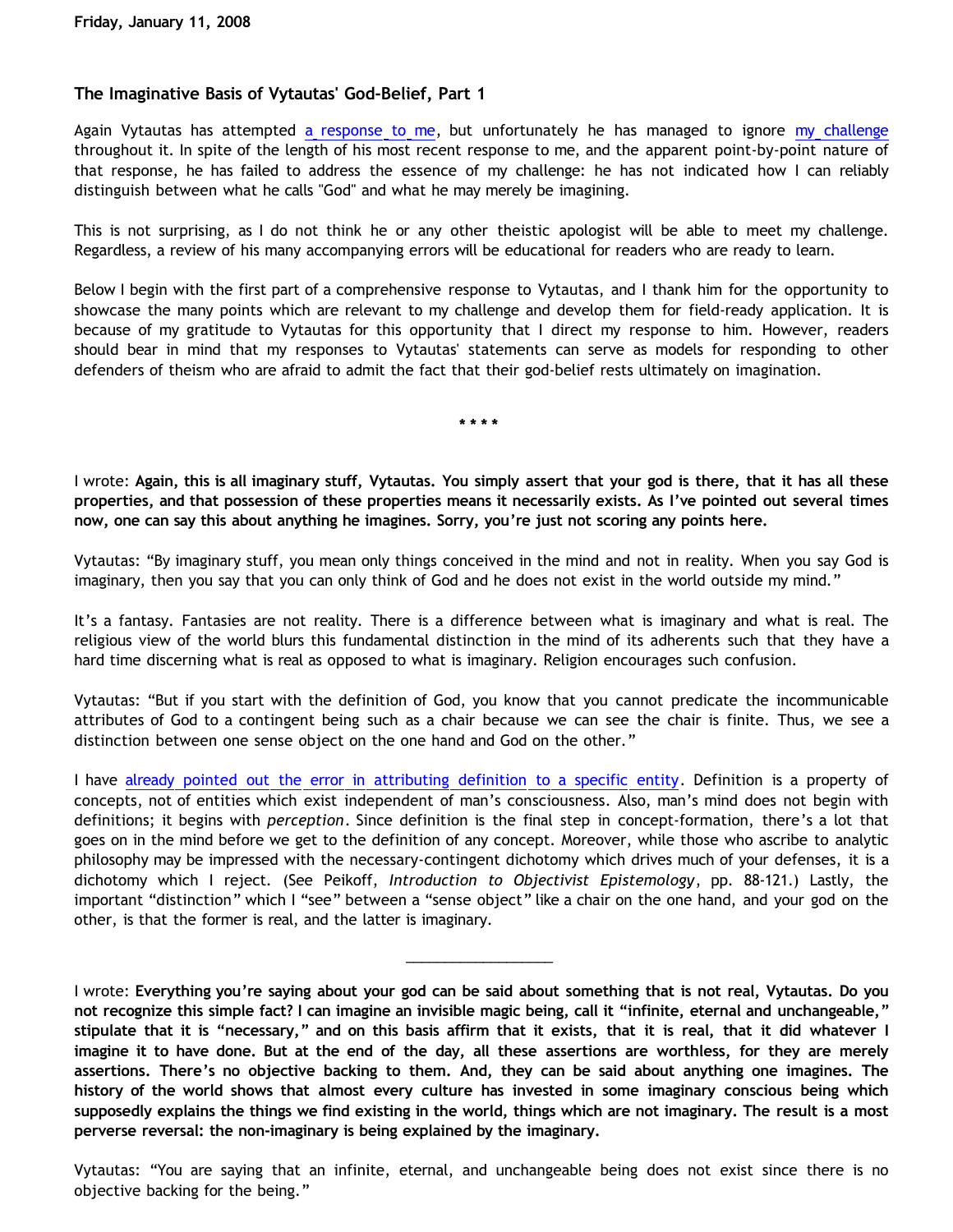# **The Imaginative Basis of Vytautas' God-Belief, Part 1**

Again Vytautas has attempted [a response to me](http://privyfisherman.blogspot.com/2008/01/all-imaginary-stuff.html), but unfortunately he has managed to ignore [my challenge](http://bahnsenburner.blogspot.com/2007/12/my-chat-with-presuppositionalist.html) throughout it. In spite of the length of his most recent response to me, and the apparent point-by-point nature of that response, he has failed to address the essence of my challenge: he has not indicated how I can reliably distinguish between what he calls "God" and what he may merely be imagining.

This is not surprising, as I do not think he or any other theistic apologist will be able to meet my challenge. Regardless, a review of his many accompanying errors will be educational for readers who are ready to learn.

Below I begin with the first part of a comprehensive response to Vytautas, and I thank him for the opportunity to showcase the many points which are relevant to my challenge and develop them for field-ready application. It is because of my gratitude to Vytautas for this opportunity that I direct my response to him. However, readers should bear in mind that my responses to Vytautas' statements can serve as models for responding to other defenders of theism who are afraid to admit the fact that their god-belief rests ultimately on imagination.

**\* \* \* \***

I wrote: **Again, this is all imaginary stuff, Vytautas. You simply assert that your god is there, that it has all these properties, and that possession of these properties means it necessarily exists. As I've pointed out several times now, one can say this about anything he imagines. Sorry, you're just not scoring any points here.**

Vytautas: "By imaginary stuff, you mean only things conceived in the mind and not in reality. When you say God is imaginary, then you say that you can only think of God and he does not exist in the world outside my mind."

It's a fantasy. Fantasies are not reality. There is a difference between what is imaginary and what is real. The religious view of the world blurs this fundamental distinction in the mind of its adherents such that they have a hard time discerning what is real as opposed to what is imaginary. Religion encourages such confusion.

Vytautas: "But if you start with the definition of God, you know that you cannot predicate the incommunicable attributes of God to a contingent being such as a chair because we can see the chair is finite. Thus, we see a distinction between one sense object on the one hand and God on the other."

I have [already pointed out the error in attributing definition to a specific entity.](http://bahnsenburner.blogspot.com/2008/01/response-to-vytautas.html) Definition is a property of concepts, not of entities which exist independent of man's consciousness. Also, man's mind does not begin with definitions; it begins with *perception*. Since definition is the final step in concept-formation, there's a lot that goes on in the mind before we get to the definition of any concept. Moreover, while those who ascribe to analytic philosophy may be impressed with the necessary-contingent dichotomy which drives much of your defenses, it is a dichotomy which I reject. (See Peikoff, *Introduction to Objectivist Epistemology*, pp. 88-121.) Lastly, the important "distinction" which I "see" between a "sense object" like a chair on the one hand, and your god on the other, is that the former is real, and the latter is imaginary.

I wrote: **Everything you're saying about your god can be said about something that is not real, Vytautas. Do you not recognize this simple fact? I can imagine an invisible magic being, call it "infinite, eternal and unchangeable," stipulate that it is "necessary," and on this basis affirm that it exists, that it is real, that it did whatever I imagine it to have done. But at the end of the day, all these assertions are worthless, for they are merely assertions. There's no objective backing to them. And, they can be said about anything one imagines. The history of the world shows that almost every culture has invested in some imaginary conscious being which supposedly explains the things we find existing in the world, things which are not imaginary. The result is a most perverse reversal: the non-imaginary is being explained by the imaginary.**

\_\_\_\_\_\_\_\_\_\_\_\_\_\_\_\_\_\_\_

Vytautas: "You are saying that an infinite, eternal, and unchangeable being does not exist since there is no objective backing for the being."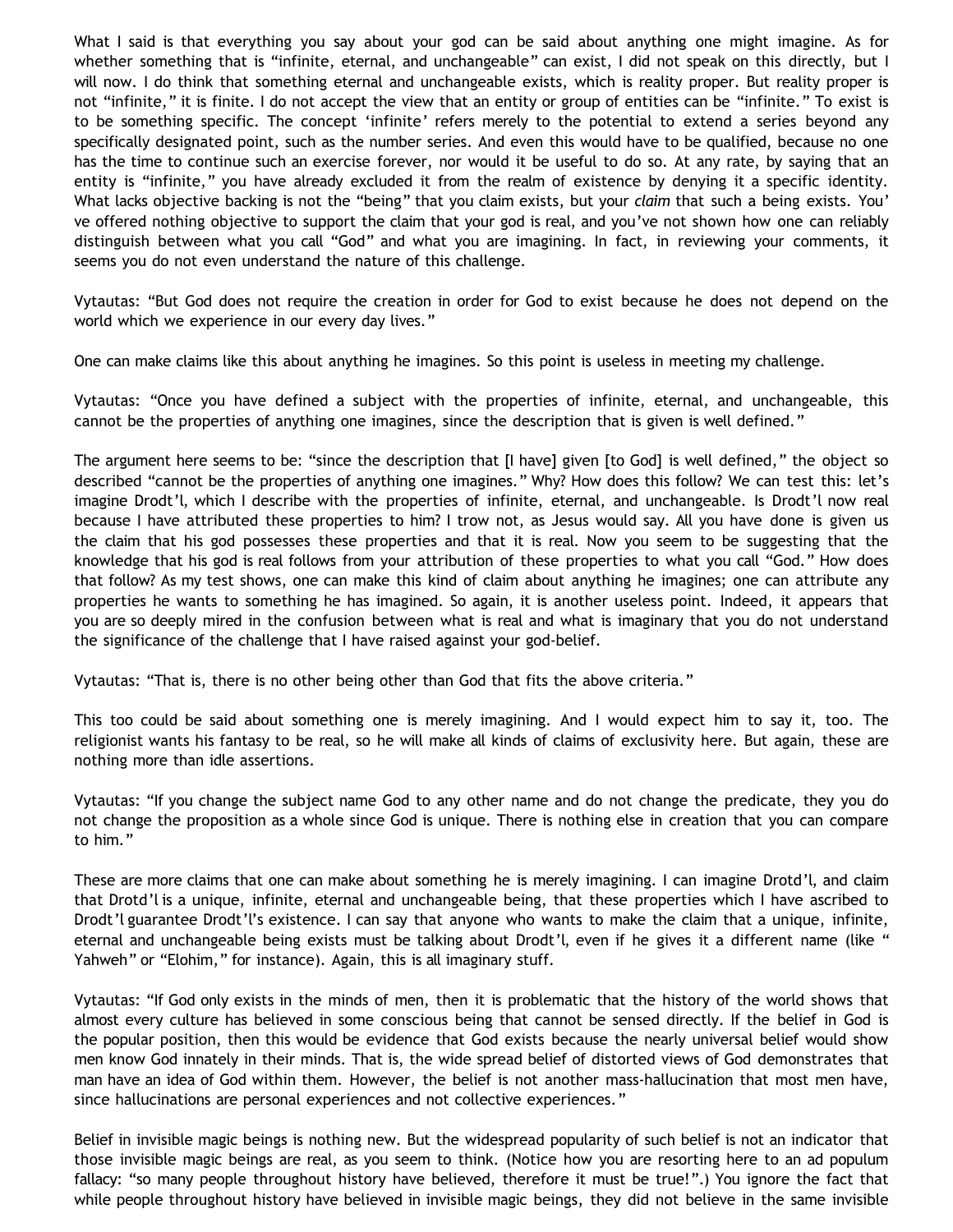What I said is that everything you say about your god can be said about anything one might imagine. As for whether something that is "infinite, eternal, and unchangeable" can exist, I did not speak on this directly, but I will now. I do think that something eternal and unchangeable exists, which is reality proper. But reality proper is not "infinite," it is finite. I do not accept the view that an entity or group of entities can be "infinite." To exist is to be something specific. The concept 'infinite' refers merely to the potential to extend a series beyond any specifically designated point, such as the number series. And even this would have to be qualified, because no one has the time to continue such an exercise forever, nor would it be useful to do so. At any rate, by saying that an entity is "infinite," you have already excluded it from the realm of existence by denying it a specific identity. What lacks objective backing is not the "being" that you claim exists, but your *claim* that such a being exists. You' ve offered nothing objective to support the claim that your god is real, and you've not shown how one can reliably distinguish between what you call "God" and what you are imagining. In fact, in reviewing your comments, it seems you do not even understand the nature of this challenge.

Vytautas: "But God does not require the creation in order for God to exist because he does not depend on the world which we experience in our every day lives."

One can make claims like this about anything he imagines. So this point is useless in meeting my challenge.

Vytautas: "Once you have defined a subject with the properties of infinite, eternal, and unchangeable, this cannot be the properties of anything one imagines, since the description that is given is well defined."

The argument here seems to be: "since the description that [I have] given [to God] is well defined," the object so described "cannot be the properties of anything one imagines." Why? How does this follow? We can test this: let's imagine Drodt'l, which I describe with the properties of infinite, eternal, and unchangeable. Is Drodt'l now real because I have attributed these properties to him? I trow not, as Jesus would say. All you have done is given us the claim that his god possesses these properties and that it is real. Now you seem to be suggesting that the knowledge that his god is real follows from your attribution of these properties to what you call "God." How does that follow? As my test shows, one can make this kind of claim about anything he imagines; one can attribute any properties he wants to something he has imagined. So again, it is another useless point. Indeed, it appears that you are so deeply mired in the confusion between what is real and what is imaginary that you do not understand the significance of the challenge that I have raised against your god-belief.

Vytautas: "That is, there is no other being other than God that fits the above criteria."

This too could be said about something one is merely imagining. And I would expect him to say it, too. The religionist wants his fantasy to be real, so he will make all kinds of claims of exclusivity here. But again, these are nothing more than idle assertions.

Vytautas: "If you change the subject name God to any other name and do not change the predicate, they you do not change the proposition as a whole since God is unique. There is nothing else in creation that you can compare to him."

These are more claims that one can make about something he is merely imagining. I can imagine Drotd'l, and claim that Drotd'l is a unique, infinite, eternal and unchangeable being, that these properties which I have ascribed to Drodt'l guarantee Drodt'l's existence. I can say that anyone who wants to make the claim that a unique, infinite, eternal and unchangeable being exists must be talking about Drodt'l, even if he gives it a different name (like " Yahweh" or "Elohim," for instance). Again, this is all imaginary stuff.

Vytautas: "If God only exists in the minds of men, then it is problematic that the history of the world shows that almost every culture has believed in some conscious being that cannot be sensed directly. If the belief in God is the popular position, then this would be evidence that God exists because the nearly universal belief would show men know God innately in their minds. That is, the wide spread belief of distorted views of God demonstrates that man have an idea of God within them. However, the belief is not another mass-hallucination that most men have, since hallucinations are personal experiences and not collective experiences."

Belief in invisible magic beings is nothing new. But the widespread popularity of such belief is not an indicator that those invisible magic beings are real, as you seem to think. (Notice how you are resorting here to an ad populum fallacy: "so many people throughout history have believed, therefore it must be true!".) You ignore the fact that while people throughout history have believed in invisible magic beings, they did not believe in the same invisible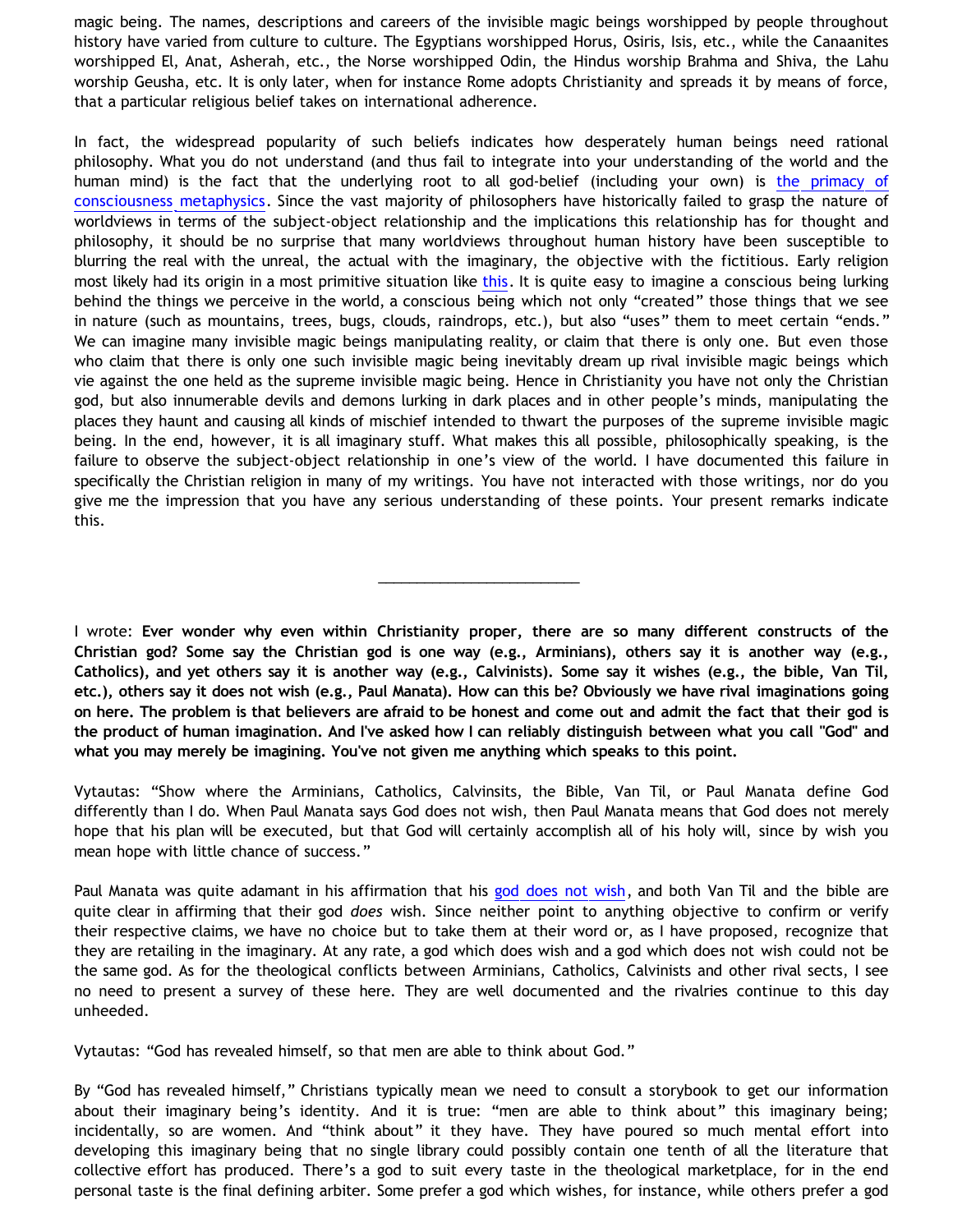magic being. The names, descriptions and careers of the invisible magic beings worshipped by people throughout history have varied from culture to culture. The Egyptians worshipped Horus, Osiris, Isis, etc., while the Canaanites worshipped El, Anat, Asherah, etc., the Norse worshipped Odin, the Hindus worship Brahma and Shiva, the Lahu worship Geusha, etc. It is only later, when for instance Rome adopts Christianity and spreads it by means of force, that a particular religious belief takes on international adherence.

In fact, the widespread popularity of such beliefs indicates how desperately human beings need rational philosophy. What you do not understand (and thus fail to integrate into your understanding of the world and the human mind) is the fact that the underlying root to all god-belief (including your own) is [the primacy of](http://bahnsenburner.blogspot.com/2006/12/theism-and-subjective-metaphysics.html) [consciousness metaphysics](http://bahnsenburner.blogspot.com/2006/12/theism-and-subjective-metaphysics.html). Since the vast majority of philosophers have historically failed to grasp the nature of worldviews in terms of the subject-object relationship and the implications this relationship has for thought and philosophy, it should be no surprise that many worldviews throughout human history have been susceptible to blurring the real with the unreal, the actual with the imaginary, the objective with the fictitious. Early religion most likely had its origin in a most primitive situation like [this](http://www.geocities.com/katholon/how_religion_got_started.htm). It is quite easy to imagine a conscious being lurking behind the things we perceive in the world, a conscious being which not only "created" those things that we see in nature (such as mountains, trees, bugs, clouds, raindrops, etc.), but also "uses" them to meet certain "ends." We can imagine many invisible magic beings manipulating reality, or claim that there is only one. But even those who claim that there is only one such invisible magic being inevitably dream up rival invisible magic beings which vie against the one held as the supreme invisible magic being. Hence in Christianity you have not only the Christian god, but also innumerable devils and demons lurking in dark places and in other people's minds, manipulating the places they haunt and causing all kinds of mischief intended to thwart the purposes of the supreme invisible magic being. In the end, however, it is all imaginary stuff. What makes this all possible, philosophically speaking, is the failure to observe the subject-object relationship in one's view of the world. I have documented this failure in specifically the Christian religion in many of my writings. You have not interacted with those writings, nor do you give me the impression that you have any serious understanding of these points. Your present remarks indicate this.

I wrote: **Ever wonder why even within Christianity proper, there are so many different constructs of the Christian god? Some say the Christian god is one way (e.g., Arminians), others say it is another way (e.g., Catholics), and yet others say it is another way (e.g., Calvinists). Some say it wishes (e.g., the bible, Van Til, etc.), others say it does not wish (e.g., Paul Manata). How can this be? Obviously we have rival imaginations going on here. The problem is that believers are afraid to be honest and come out and admit the fact that their god is the product of human imagination. And I've asked how I can reliably distinguish between what you call "God" and what you may merely be imagining. You've not given me anything which speaks to this point.**

\_\_\_\_\_\_\_\_\_\_\_\_\_\_\_\_\_\_\_\_\_\_\_\_\_\_

Vytautas: "Show where the Arminians, Catholics, Calvinsits, the Bible, Van Til, or Paul Manata define God differently than I do. When Paul Manata says God does not wish, then Paul Manata means that God does not merely hope that his plan will be executed, but that God will certainly accomplish all of his holy will, since by wish you mean hope with little chance of success."

Paul Manata was quite adamant in his affirmation that his [god does not wish,](http://bahnsenburner.blogspot.com/2006/12/wishing-and-christian-deity.html) and both Van Til and the bible are quite clear in affirming that their god *does* wish. Since neither point to anything objective to confirm or verify their respective claims, we have no choice but to take them at their word or, as I have proposed, recognize that they are retailing in the imaginary. At any rate, a god which does wish and a god which does not wish could not be the same god. As for the theological conflicts between Arminians, Catholics, Calvinists and other rival sects, I see no need to present a survey of these here. They are well documented and the rivalries continue to this day unheeded.

Vytautas: "God has revealed himself, so that men are able to think about God."

By "God has revealed himself," Christians typically mean we need to consult a storybook to get our information about their imaginary being's identity. And it is true: "men are able to think about" this imaginary being; incidentally, so are women. And "think about" it they have. They have poured so much mental effort into developing this imaginary being that no single library could possibly contain one tenth of all the literature that collective effort has produced. There's a god to suit every taste in the theological marketplace, for in the end personal taste is the final defining arbiter. Some prefer a god which wishes, for instance, while others prefer a god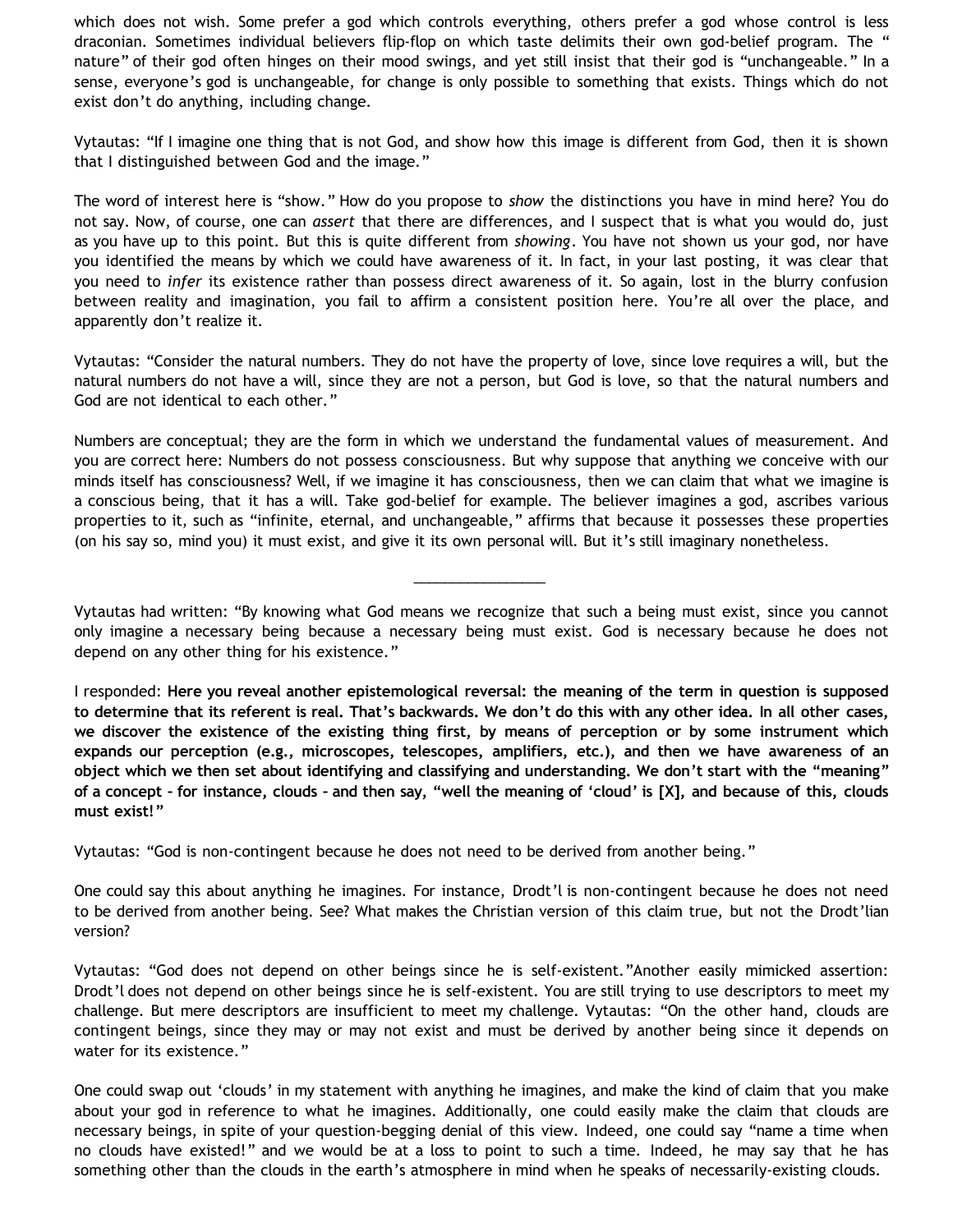which does not wish. Some prefer a god which controls everything, others prefer a god whose control is less draconian. Sometimes individual believers flip-flop on which taste delimits their own god-belief program. The " nature" of their god often hinges on their mood swings, and yet still insist that their god is "unchangeable." In a sense, everyone's god is unchangeable, for change is only possible to something that exists. Things which do not exist don't do anything, including change.

Vytautas: "If I imagine one thing that is not God, and show how this image is different from God, then it is shown that I distinguished between God and the image."

The word of interest here is "show." How do you propose to *show* the distinctions you have in mind here? You do not say. Now, of course, one can *assert* that there are differences, and I suspect that is what you would do, just as you have up to this point. But this is quite different from *showing*. You have not shown us your god, nor have you identified the means by which we could have awareness of it. In fact, in your last posting, it was clear that you need to *infer* its existence rather than possess direct awareness of it. So again, lost in the blurry confusion between reality and imagination, you fail to affirm a consistent position here. You're all over the place, and apparently don't realize it.

Vytautas: "Consider the natural numbers. They do not have the property of love, since love requires a will, but the natural numbers do not have a will, since they are not a person, but God is love, so that the natural numbers and God are not identical to each other."

Numbers are conceptual; they are the form in which we understand the fundamental values of measurement. And you are correct here: Numbers do not possess consciousness. But why suppose that anything we conceive with our minds itself has consciousness? Well, if we imagine it has consciousness, then we can claim that what we imagine is a conscious being, that it has a will. Take god-belief for example. The believer imagines a god, ascribes various properties to it, such as "infinite, eternal, and unchangeable," affirms that because it possesses these properties (on his say so, mind you) it must exist, and give it its own personal will. But it's still imaginary nonetheless.

Vytautas had written: "By knowing what God means we recognize that such a being must exist, since you cannot only imagine a necessary being because a necessary being must exist. God is necessary because he does not depend on any other thing for his existence."

\_\_\_\_\_\_\_\_\_\_\_\_\_\_\_\_\_

I responded: **Here you reveal another epistemological reversal: the meaning of the term in question is supposed to determine that its referent is real. That's backwards. We don't do this with any other idea. In all other cases, we discover the existence of the existing thing first, by means of perception or by some instrument which expands our perception (e.g., microscopes, telescopes, amplifiers, etc.), and then we have awareness of an object which we then set about identifying and classifying and understanding. We don't start with the "meaning" of a concept – for instance, clouds – and then say, "well the meaning of 'cloud' is [X], and because of this, clouds must exist!"**

Vytautas: "God is non-contingent because he does not need to be derived from another being."

One could say this about anything he imagines. For instance, Drodt'l is non-contingent because he does not need to be derived from another being. See? What makes the Christian version of this claim true, but not the Drodt'lian version?

Vytautas: "God does not depend on other beings since he is self-existent."Another easily mimicked assertion: Drodt'l does not depend on other beings since he is self-existent. You are still trying to use descriptors to meet my challenge. But mere descriptors are insufficient to meet my challenge. Vytautas: "On the other hand, clouds are contingent beings, since they may or may not exist and must be derived by another being since it depends on water for its existence."

One could swap out 'clouds' in my statement with anything he imagines, and make the kind of claim that you make about your god in reference to what he imagines. Additionally, one could easily make the claim that clouds are necessary beings, in spite of your question-begging denial of this view. Indeed, one could say "name a time when no clouds have existed!" and we would be at a loss to point to such a time. Indeed, he may say that he has something other than the clouds in the earth's atmosphere in mind when he speaks of necessarily-existing clouds.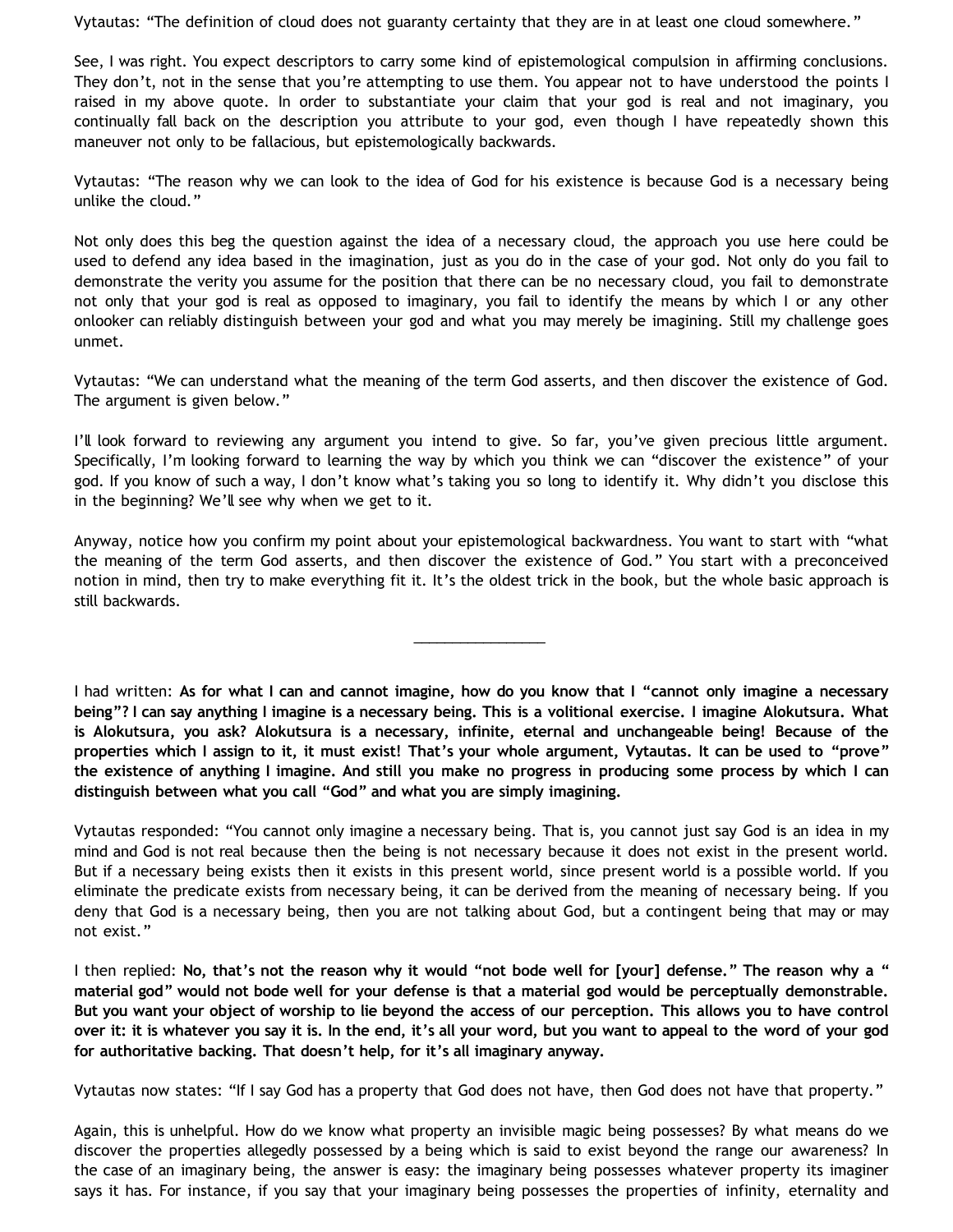Vytautas: "The definition of cloud does not guaranty certainty that they are in at least one cloud somewhere."

See, I was right. You expect descriptors to carry some kind of epistemological compulsion in affirming conclusions. They don't, not in the sense that you're attempting to use them. You appear not to have understood the points I raised in my above quote. In order to substantiate your claim that your god is real and not imaginary, you continually fall back on the description you attribute to your god, even though I have repeatedly shown this maneuver not only to be fallacious, but epistemologically backwards.

Vytautas: "The reason why we can look to the idea of God for his existence is because God is a necessary being unlike the cloud."

Not only does this beg the question against the idea of a necessary cloud, the approach you use here could be used to defend any idea based in the imagination, just as you do in the case of your god. Not only do you fail to demonstrate the verity you assume for the position that there can be no necessary cloud, you fail to demonstrate not only that your god is real as opposed to imaginary, you fail to identify the means by which I or any other onlooker can reliably distinguish between your god and what you may merely be imagining. Still my challenge goes unmet.

Vytautas: "We can understand what the meaning of the term God asserts, and then discover the existence of God. The argument is given below."

I'll look forward to reviewing any argument you intend to give. So far, you've given precious little argument. Specifically, I'm looking forward to learning the way by which you think we can "discover the existence" of your god. If you know of such a way, I don't know what's taking you so long to identify it. Why didn't you disclose this in the beginning? We'll see why when we get to it.

Anyway, notice how you confirm my point about your epistemological backwardness. You want to start with "what the meaning of the term God asserts, and then discover the existence of God." You start with a preconceived notion in mind, then try to make everything fit it. It's the oldest trick in the book, but the whole basic approach is still backwards.

\_\_\_\_\_\_\_\_\_\_\_\_\_\_\_\_\_

I had written: **As for what I can and cannot imagine, how do you know that I "cannot only imagine a necessary being"? I can say anything I imagine is a necessary being. This is a volitional exercise. I imagine Alokutsura. What is Alokutsura, you ask? Alokutsura is a necessary, infinite, eternal and unchangeable being! Because of the properties which I assign to it, it must exist! That's your whole argument, Vytautas. It can be used to "prove" the existence of anything I imagine. And still you make no progress in producing some process by which I can distinguish between what you call "God" and what you are simply imagining.**

Vytautas responded: "You cannot only imagine a necessary being. That is, you cannot just say God is an idea in my mind and God is not real because then the being is not necessary because it does not exist in the present world. But if a necessary being exists then it exists in this present world, since present world is a possible world. If you eliminate the predicate exists from necessary being, it can be derived from the meaning of necessary being. If you deny that God is a necessary being, then you are not talking about God, but a contingent being that may or may not exist."

I then replied: **No, that's not the reason why it would "not bode well for [your] defense." The reason why a " material god" would not bode well for your defense is that a material god would be perceptually demonstrable. But you want your object of worship to lie beyond the access of our perception. This allows you to have control over it: it is whatever you say it is. In the end, it's all your word, but you want to appeal to the word of your god for authoritative backing. That doesn't help, for it's all imaginary anyway.**

Vytautas now states: "If I say God has a property that God does not have, then God does not have that property."

Again, this is unhelpful. How do we know what property an invisible magic being possesses? By what means do we discover the properties allegedly possessed by a being which is said to exist beyond the range our awareness? In the case of an imaginary being, the answer is easy: the imaginary being possesses whatever property its imaginer says it has. For instance, if you say that your imaginary being possesses the properties of infinity, eternality and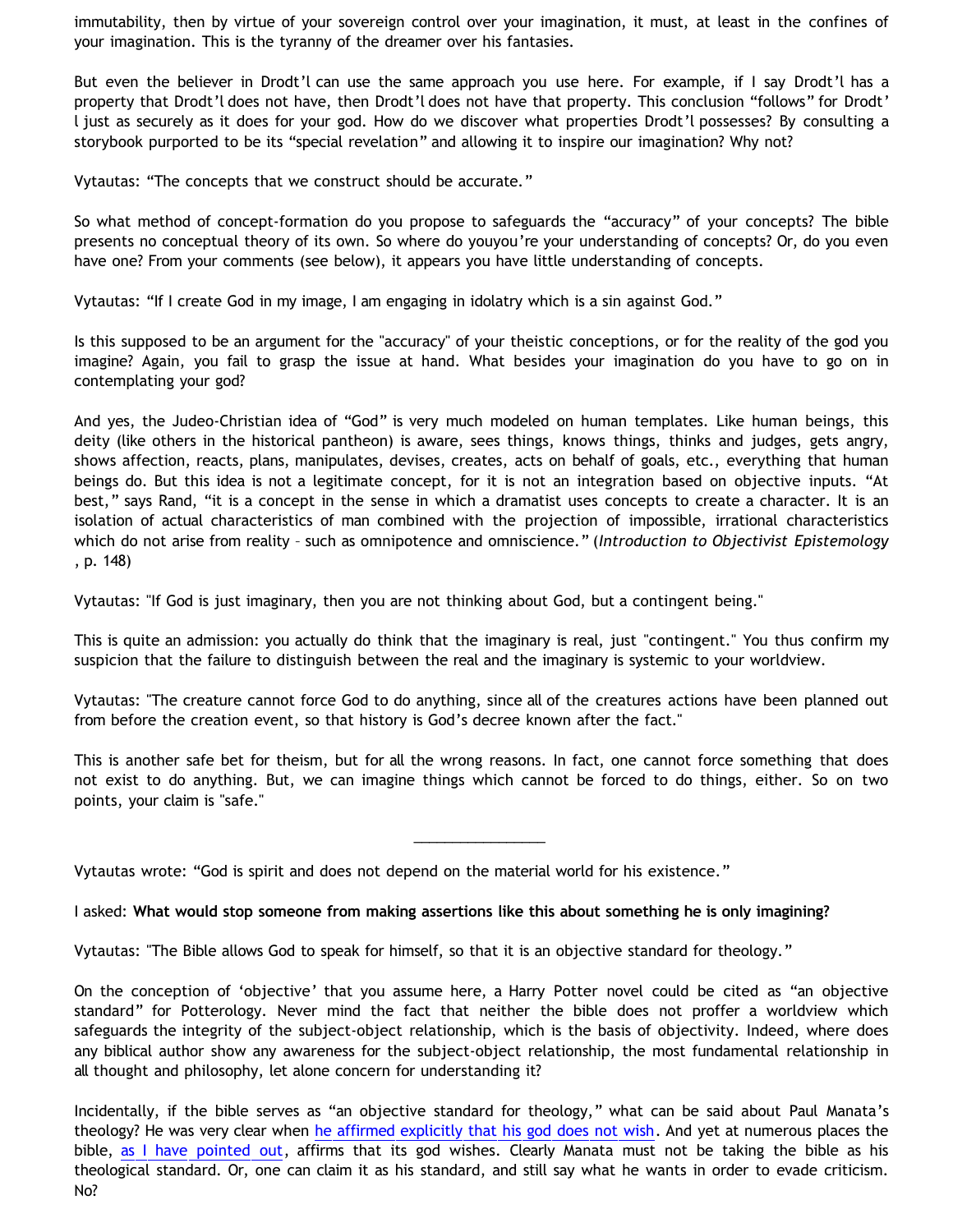immutability, then by virtue of your sovereign control over your imagination, it must, at least in the confines of your imagination. This is the tyranny of the dreamer over his fantasies.

But even the believer in Drodt'l can use the same approach you use here. For example, if I say Drodt'l has a property that Drodt'l does not have, then Drodt'l does not have that property. This conclusion "follows" for Drodt' l just as securely as it does for your god. How do we discover what properties Drodt'l possesses? By consulting a storybook purported to be its "special revelation" and allowing it to inspire our imagination? Why not?

Vytautas: "The concepts that we construct should be accurate."

So what method of concept-formation do you propose to safeguards the "accuracy" of your concepts? The bible presents no conceptual theory of its own. So where do youyou're your understanding of concepts? Or, do you even have one? From your comments (see below), it appears you have little understanding of concepts.

Vytautas: "If I create God in my image, I am engaging in idolatry which is a sin against God."

Is this supposed to be an argument for the "accuracy" of your theistic conceptions, or for the reality of the god you imagine? Again, you fail to grasp the issue at hand. What besides your imagination do you have to go on in contemplating your god?

And yes, the Judeo-Christian idea of "God" is very much modeled on human templates. Like human beings, this deity (like others in the historical pantheon) is aware, sees things, knows things, thinks and judges, gets angry, shows affection, reacts, plans, manipulates, devises, creates, acts on behalf of goals, etc., everything that human beings do. But this idea is not a legitimate concept, for it is not an integration based on objective inputs. "At best," says Rand, "it is a concept in the sense in which a dramatist uses concepts to create a character. It is an isolation of actual characteristics of man combined with the projection of impossible, irrational characteristics which do not arise from reality – such as omnipotence and omniscience." (*Introduction to Objectivist Epistemology* , p. 148)

Vytautas: "If God is just imaginary, then you are not thinking about God, but a contingent being."

This is quite an admission: you actually do think that the imaginary is real, just "contingent." You thus confirm my suspicion that the failure to distinguish between the real and the imaginary is systemic to your worldview.

Vytautas: "The creature cannot force God to do anything, since all of the creatures actions have been planned out from before the creation event, so that history is God's decree known after the fact."

This is another safe bet for theism, but for all the wrong reasons. In fact, one cannot force something that does not exist to do anything. But, we can imagine things which cannot be forced to do things, either. So on two points, your claim is "safe."

\_\_\_\_\_\_\_\_\_\_\_\_\_\_\_\_\_

Vytautas wrote: "God is spirit and does not depend on the material world for his existence."

I asked: **What would stop someone from making assertions like this about something he is only imagining?**

Vytautas: "The Bible allows God to speak for himself, so that it is an objective standard for theology."

On the conception of 'objective' that you assume here, a Harry Potter novel could be cited as "an objective standard" for Potterology. Never mind the fact that neither the bible does not proffer a worldview which safeguards the integrity of the subject-object relationship, which is the basis of objectivity. Indeed, where does any biblical author show any awareness for the subject-object relationship, the most fundamental relationship in all thought and philosophy, let alone concern for understanding it?

Incidentally, if the bible serves as "an objective standard for theology," what can be said about Paul Manata's theology? He was very clear when [he affirmed explicitly that his god does not wish](http://bahnsenburner.blogspot.com/2006/12/wishing-and-christian-deity.html). And yet at numerous places the bible, [as I have pointed out](http://bahnsenburner.blogspot.com/2006/10/those-delicate-christian-sensibilities.html), affirms that its god wishes. Clearly Manata must not be taking the bible as his theological standard. Or, one can claim it as his standard, and still say what he wants in order to evade criticism. No?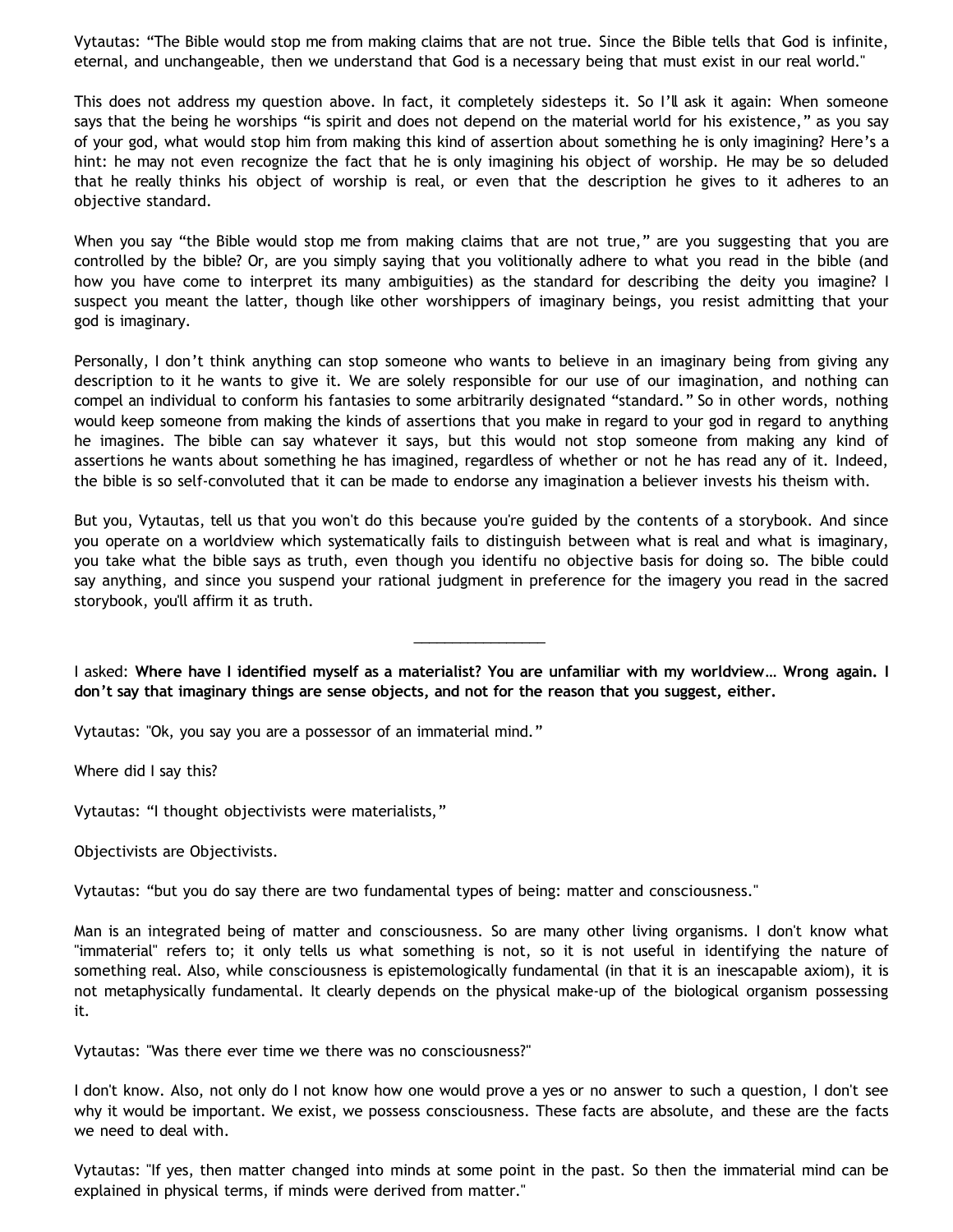Vytautas: "The Bible would stop me from making claims that are not true. Since the Bible tells that God is infinite, eternal, and unchangeable, then we understand that God is a necessary being that must exist in our real world."

This does not address my question above. In fact, it completely sidesteps it. So I'll ask it again: When someone says that the being he worships "is spirit and does not depend on the material world for his existence," as you say of your god, what would stop him from making this kind of assertion about something he is only imagining? Here's a hint: he may not even recognize the fact that he is only imagining his object of worship. He may be so deluded that he really thinks his object of worship is real, or even that the description he gives to it adheres to an objective standard.

When you say "the Bible would stop me from making claims that are not true," are you suggesting that you are controlled by the bible? Or, are you simply saying that you volitionally adhere to what you read in the bible (and how you have come to interpret its many ambiguities) as the standard for describing the deity you imagine? I suspect you meant the latter, though like other worshippers of imaginary beings, you resist admitting that your god is imaginary.

Personally, I don't think anything can stop someone who wants to believe in an imaginary being from giving any description to it he wants to give it. We are solely responsible for our use of our imagination, and nothing can compel an individual to conform his fantasies to some arbitrarily designated "standard." So in other words, nothing would keep someone from making the kinds of assertions that you make in regard to your god in regard to anything he imagines. The bible can say whatever it says, but this would not stop someone from making any kind of assertions he wants about something he has imagined, regardless of whether or not he has read any of it. Indeed, the bible is so self-convoluted that it can be made to endorse any imagination a believer invests his theism with.

But you, Vytautas, tell us that you won't do this because you're guided by the contents of a storybook. And since you operate on a worldview which systematically fails to distinguish between what is real and what is imaginary, you take what the bible says as truth, even though you identifu no objective basis for doing so. The bible could say anything, and since you suspend your rational judgment in preference for the imagery you read in the sacred storybook, you'll affirm it as truth.

I asked: **Where have I identified myself as a materialist? You are unfamiliar with my worldview… Wrong again. I don't say that imaginary things are sense objects, and not for the reason that you suggest, either.**

\_\_\_\_\_\_\_\_\_\_\_\_\_\_\_\_\_

Vytautas: "Ok, you say you are a possessor of an immaterial mind."

Where did I say this?

Vytautas: "I thought objectivists were materialists,"

Objectivists are Objectivists.

Vytautas: "but you do say there are two fundamental types of being: matter and consciousness."

Man is an integrated being of matter and consciousness. So are many other living organisms. I don't know what "immaterial" refers to; it only tells us what something is not, so it is not useful in identifying the nature of something real. Also, while consciousness is epistemologically fundamental (in that it is an inescapable axiom), it is not metaphysically fundamental. It clearly depends on the physical make-up of the biological organism possessing it.

Vytautas: "Was there ever time we there was no consciousness?"

I don't know. Also, not only do I not know how one would prove a yes or no answer to such a question, I don't see why it would be important. We exist, we possess consciousness. These facts are absolute, and these are the facts we need to deal with.

Vytautas: "If yes, then matter changed into minds at some point in the past. So then the immaterial mind can be explained in physical terms, if minds were derived from matter."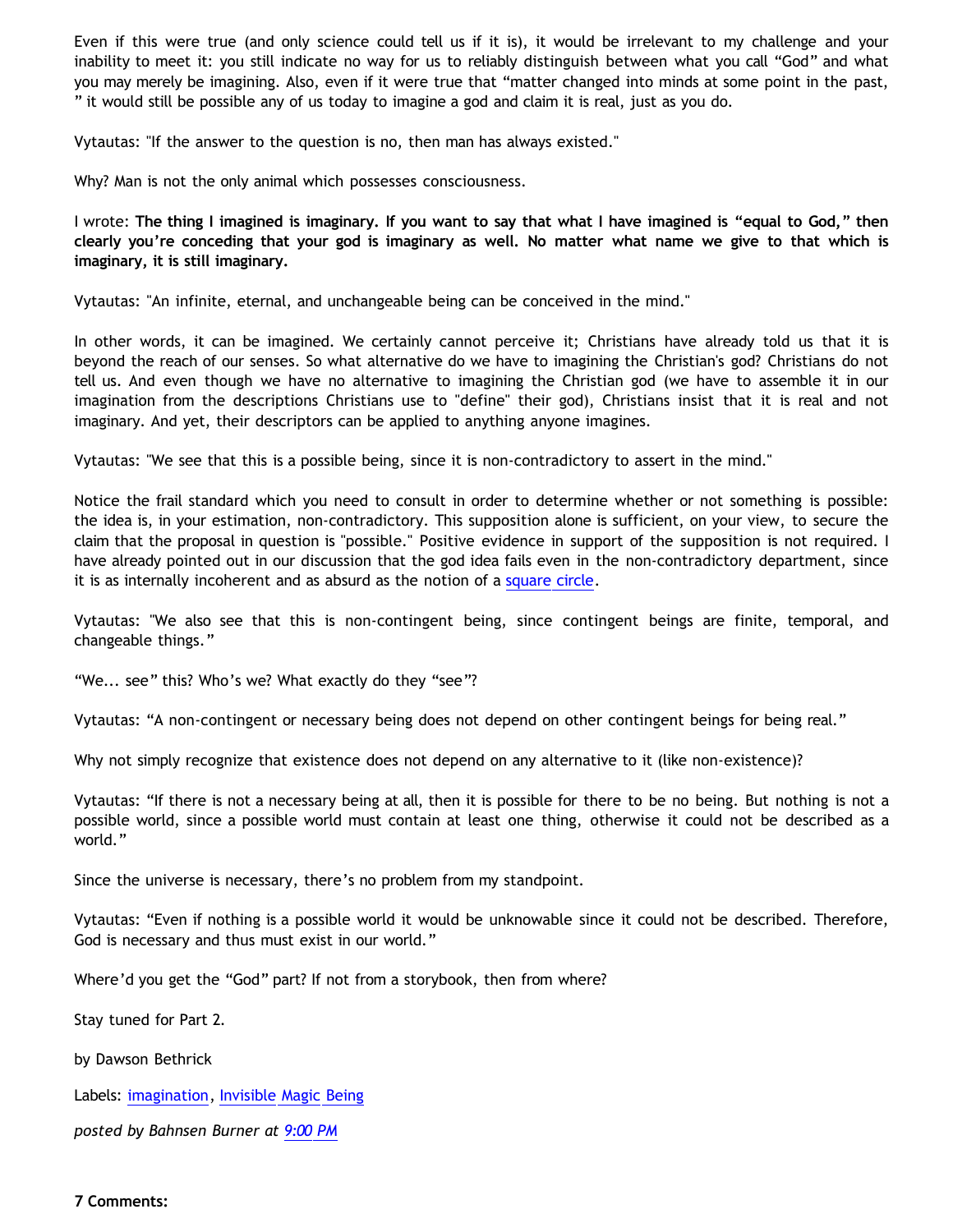Even if this were true (and only science could tell us if it is), it would be irrelevant to my challenge and your inability to meet it: you still indicate no way for us to reliably distinguish between what you call "God" and what you may merely be imagining. Also, even if it were true that "matter changed into minds at some point in the past, " it would still be possible any of us today to imagine a god and claim it is real, just as you do.

Vytautas: "If the answer to the question is no, then man has always existed."

Why? Man is not the only animal which possesses consciousness.

I wrote: **The thing I imagined is imaginary. If you want to say that what I have imagined is "equal to God," then clearly you're conceding that your god is imaginary as well. No matter what name we give to that which is imaginary, it is still imaginary.**

Vytautas: "An infinite, eternal, and unchangeable being can be conceived in the mind."

In other words, it can be imagined. We certainly cannot perceive it; Christians have already told us that it is beyond the reach of our senses. So what alternative do we have to imagining the Christian's god? Christians do not tell us. And even though we have no alternative to imagining the Christian god (we have to assemble it in our imagination from the descriptions Christians use to "define" their god), Christians insist that it is real and not imaginary. And yet, their descriptors can be applied to anything anyone imagines.

Vytautas: "We see that this is a possible being, since it is non-contradictory to assert in the mind."

Notice the frail standard which you need to consult in order to determine whether or not something is possible: the idea is, in your estimation, non-contradictory. This supposition alone is sufficient, on your view, to secure the claim that the proposal in question is "possible." Positive evidence in support of the supposition is not required. I have already pointed out in our discussion that the god idea fails even in the non-contradictory department, since it is as internally incoherent and as absurd as the notion of a [square circle](http://www.geocities.com/katholon/squarecircles.htm).

Vytautas: "We also see that this is non-contingent being, since contingent beings are finite, temporal, and changeable things."

"We... see" this? Who's we? What exactly do they "see"?

Vytautas: "A non-contingent or necessary being does not depend on other contingent beings for being real."

Why not simply recognize that existence does not depend on any alternative to it (like non-existence)?

Vytautas: "If there is not a necessary being at all, then it is possible for there to be no being. But nothing is not a possible world, since a possible world must contain at least one thing, otherwise it could not be described as a world."

Since the universe is necessary, there's no problem from my standpoint.

Vytautas: "Even if nothing is a possible world it would be unknowable since it could not be described. Therefore, God is necessary and thus must exist in our world."

Where'd you get the "God" part? If not from a storybook, then from where?

Stay tuned for Part 2.

by Dawson Bethrick

Labels: [imagination,](http://bahnsenburner.blogspot.com/search/label/imagination) [Invisible Magic Being](http://bahnsenburner.blogspot.com/search/label/Invisible%20Magic%20Being)

*posted by Bahnsen Burner at [9:00 PM](http://bahnsenburner.blogspot.com/2008/01/imaginative-basis-of-vytautas-god.html)*

## **7 Comments:**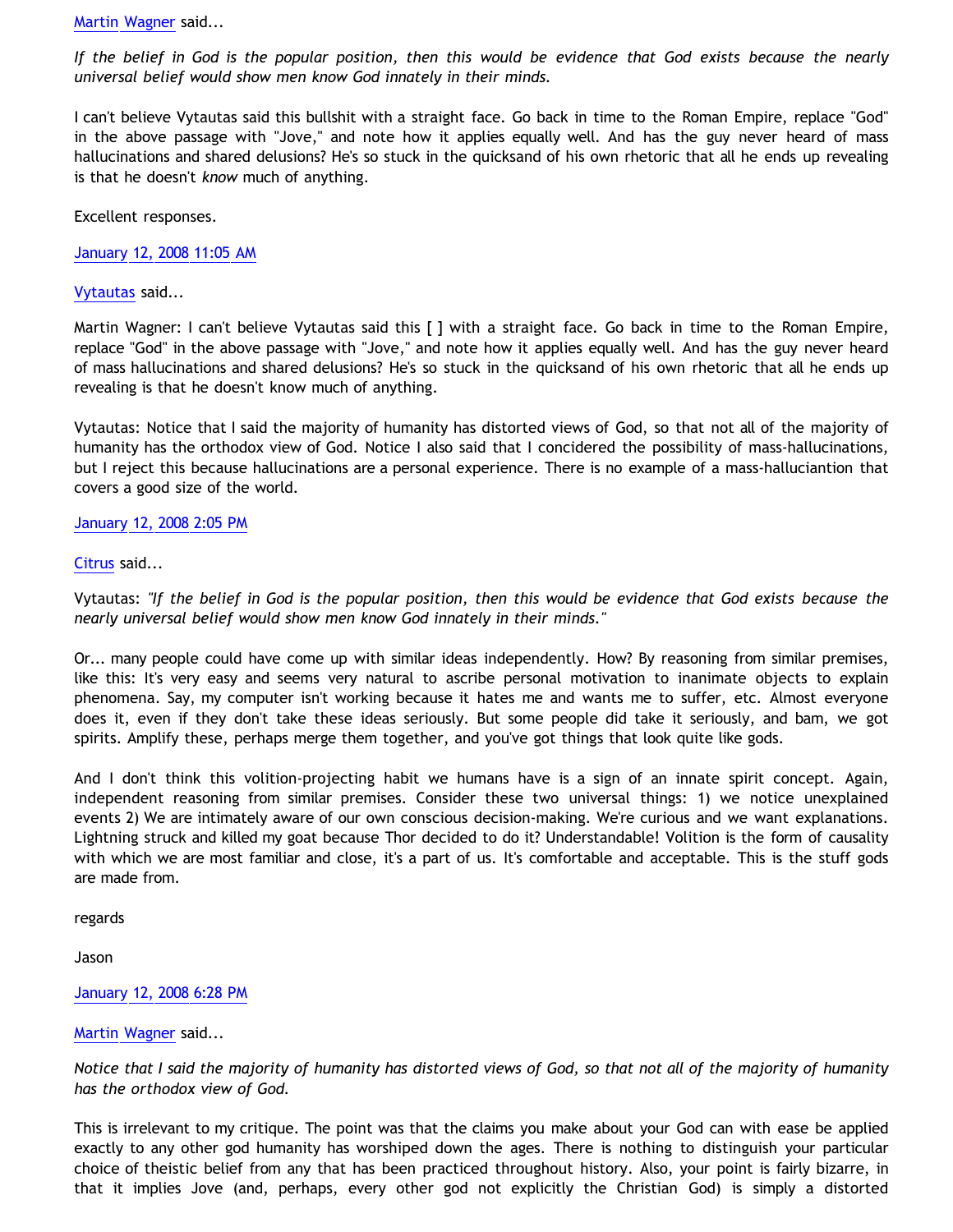[Martin Wagner](http://www.blogger.com/profile/17933545393470431585) said...

*If the belief in God is the popular position, then this would be evidence that God exists because the nearly universal belief would show men know God innately in their minds.*

I can't believe Vytautas said this bullshit with a straight face. Go back in time to the Roman Empire, replace "God" in the above passage with "Jove," and note how it applies equally well. And has the guy never heard of mass hallucinations and shared delusions? He's so stuck in the quicksand of his own rhetoric that all he ends up revealing is that he doesn't *know* much of anything.

Excellent responses.

[January 12, 2008 11:05 AM](http://bahnsenburner.blogspot.com/2008/01/6293509297298385845)

[Vytautas](http://www.blogger.com/profile/10563655929016752682) said...

Martin Wagner: I can't believe Vytautas said this [ ] with a straight face. Go back in time to the Roman Empire, replace "God" in the above passage with "Jove," and note how it applies equally well. And has the guy never heard of mass hallucinations and shared delusions? He's so stuck in the quicksand of his own rhetoric that all he ends up revealing is that he doesn't know much of anything.

Vytautas: Notice that I said the majority of humanity has distorted views of God, so that not all of the majority of humanity has the orthodox view of God. Notice I also said that I concidered the possibility of mass-hallucinations, but I reject this because hallucinations are a personal experience. There is no example of a mass-halluciantion that covers a good size of the world.

## [January 12, 2008 2:05 PM](http://bahnsenburner.blogspot.com/2008/01/745351765302756754)

# [Citrus](http://www.blogger.com/profile/09604208085934821426) said...

Vytautas: *"If the belief in God is the popular position, then this would be evidence that God exists because the nearly universal belief would show men know God innately in their minds."*

Or... many people could have come up with similar ideas independently. How? By reasoning from similar premises, like this: It's very easy and seems very natural to ascribe personal motivation to inanimate objects to explain phenomena. Say, my computer isn't working because it hates me and wants me to suffer, etc. Almost everyone does it, even if they don't take these ideas seriously. But some people did take it seriously, and bam, we got spirits. Amplify these, perhaps merge them together, and you've got things that look quite like gods.

And I don't think this volition-projecting habit we humans have is a sign of an innate spirit concept. Again, independent reasoning from similar premises. Consider these two universal things: 1) we notice unexplained events 2) We are intimately aware of our own conscious decision-making. We're curious and we want explanations. Lightning struck and killed my goat because Thor decided to do it? Understandable! Volition is the form of causality with which we are most familiar and close, it's a part of us. It's comfortable and acceptable. This is the stuff gods are made from.

regards

Jason

## [January 12, 2008 6:28 PM](http://bahnsenburner.blogspot.com/2008/01/7697114291571455291)

## [Martin Wagner](http://www.blogger.com/profile/17933545393470431585) said...

*Notice that I said the majority of humanity has distorted views of God, so that not all of the majority of humanity has the orthodox view of God.*

This is irrelevant to my critique. The point was that the claims you make about your God can with ease be applied exactly to any other god humanity has worshiped down the ages. There is nothing to distinguish your particular choice of theistic belief from any that has been practiced throughout history. Also, your point is fairly bizarre, in that it implies Jove (and, perhaps, every other god not explicitly the Christian God) is simply a distorted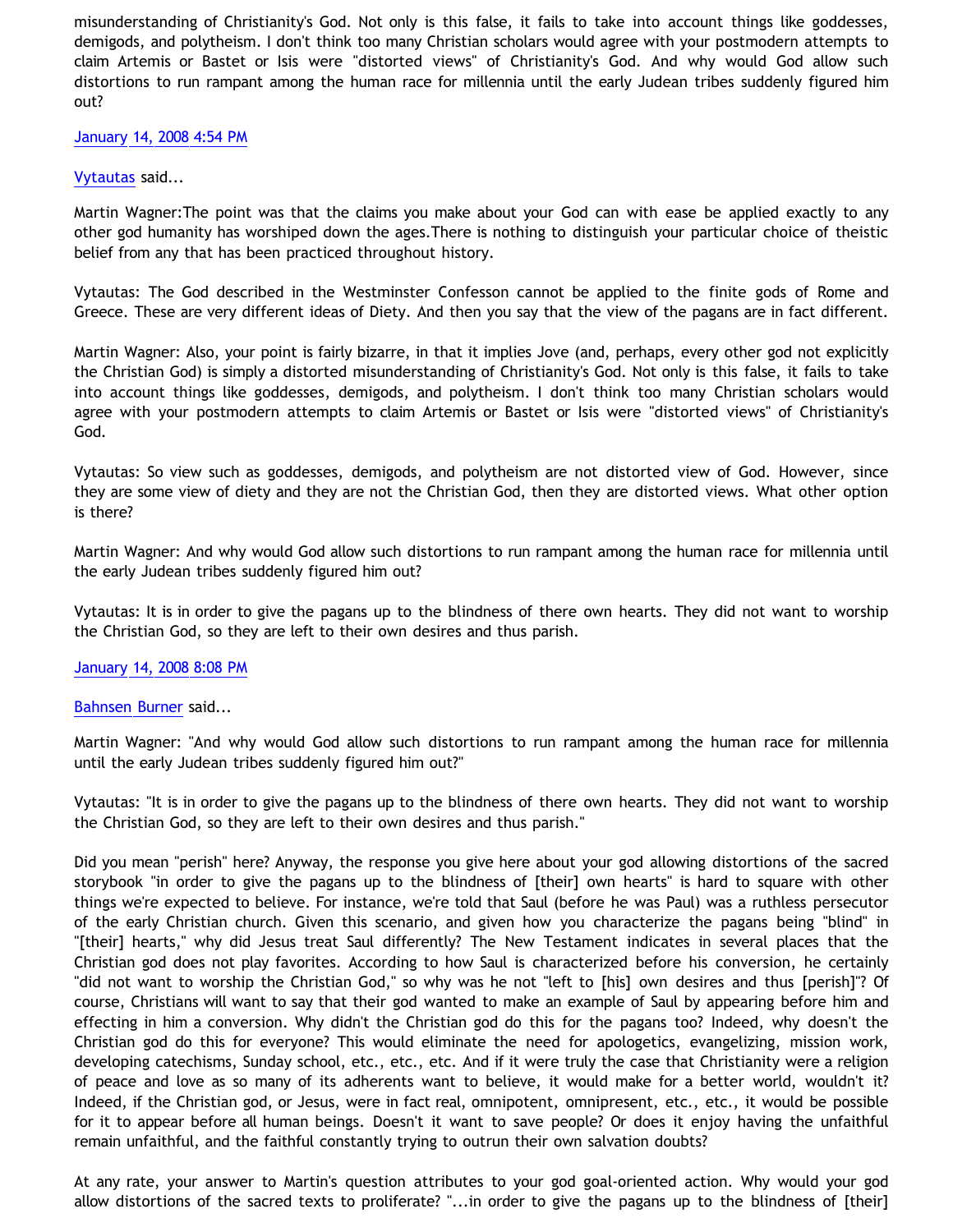misunderstanding of Christianity's God. Not only is this false, it fails to take into account things like goddesses, demigods, and polytheism. I don't think too many Christian scholars would agree with your postmodern attempts to claim Artemis or Bastet or Isis were "distorted views" of Christianity's God. And why would God allow such distortions to run rampant among the human race for millennia until the early Judean tribes suddenly figured him out?

## [January 14, 2008 4:54 PM](http://bahnsenburner.blogspot.com/2008/01/4071370304143849167)

## [Vytautas](http://www.blogger.com/profile/10563655929016752682) said...

Martin Wagner:The point was that the claims you make about your God can with ease be applied exactly to any other god humanity has worshiped down the ages.There is nothing to distinguish your particular choice of theistic belief from any that has been practiced throughout history.

Vytautas: The God described in the Westminster Confesson cannot be applied to the finite gods of Rome and Greece. These are very different ideas of Diety. And then you say that the view of the pagans are in fact different.

Martin Wagner: Also, your point is fairly bizarre, in that it implies Jove (and, perhaps, every other god not explicitly the Christian God) is simply a distorted misunderstanding of Christianity's God. Not only is this false, it fails to take into account things like goddesses, demigods, and polytheism. I don't think too many Christian scholars would agree with your postmodern attempts to claim Artemis or Bastet or Isis were "distorted views" of Christianity's God.

Vytautas: So view such as goddesses, demigods, and polytheism are not distorted view of God. However, since they are some view of diety and they are not the Christian God, then they are distorted views. What other option is there?

Martin Wagner: And why would God allow such distortions to run rampant among the human race for millennia until the early Judean tribes suddenly figured him out?

Vytautas: It is in order to give the pagans up to the blindness of there own hearts. They did not want to worship the Christian God, so they are left to their own desires and thus parish.

## [January 14, 2008 8:08 PM](http://bahnsenburner.blogspot.com/2008/01/6181723061375506073)

## [Bahnsen Burner](http://www.blogger.com/profile/11030029491768748360) said...

Martin Wagner: "And why would God allow such distortions to run rampant among the human race for millennia until the early Judean tribes suddenly figured him out?"

Vytautas: "It is in order to give the pagans up to the blindness of there own hearts. They did not want to worship the Christian God, so they are left to their own desires and thus parish."

Did you mean "perish" here? Anyway, the response you give here about your god allowing distortions of the sacred storybook "in order to give the pagans up to the blindness of [their] own hearts" is hard to square with other things we're expected to believe. For instance, we're told that Saul (before he was Paul) was a ruthless persecutor of the early Christian church. Given this scenario, and given how you characterize the pagans being "blind" in "[their] hearts," why did Jesus treat Saul differently? The New Testament indicates in several places that the Christian god does not play favorites. According to how Saul is characterized before his conversion, he certainly "did not want to worship the Christian God," so why was he not "left to [his] own desires and thus [perish]"? Of course, Christians will want to say that their god wanted to make an example of Saul by appearing before him and effecting in him a conversion. Why didn't the Christian god do this for the pagans too? Indeed, why doesn't the Christian god do this for everyone? This would eliminate the need for apologetics, evangelizing, mission work, developing catechisms, Sunday school, etc., etc., etc. And if it were truly the case that Christianity were a religion of peace and love as so many of its adherents want to believe, it would make for a better world, wouldn't it? Indeed, if the Christian god, or Jesus, were in fact real, omnipotent, omnipresent, etc., etc., it would be possible for it to appear before all human beings. Doesn't it want to save people? Or does it enjoy having the unfaithful remain unfaithful, and the faithful constantly trying to outrun their own salvation doubts?

At any rate, your answer to Martin's question attributes to your god goal-oriented action. Why would your god allow distortions of the sacred texts to proliferate? "...in order to give the pagans up to the blindness of [their]